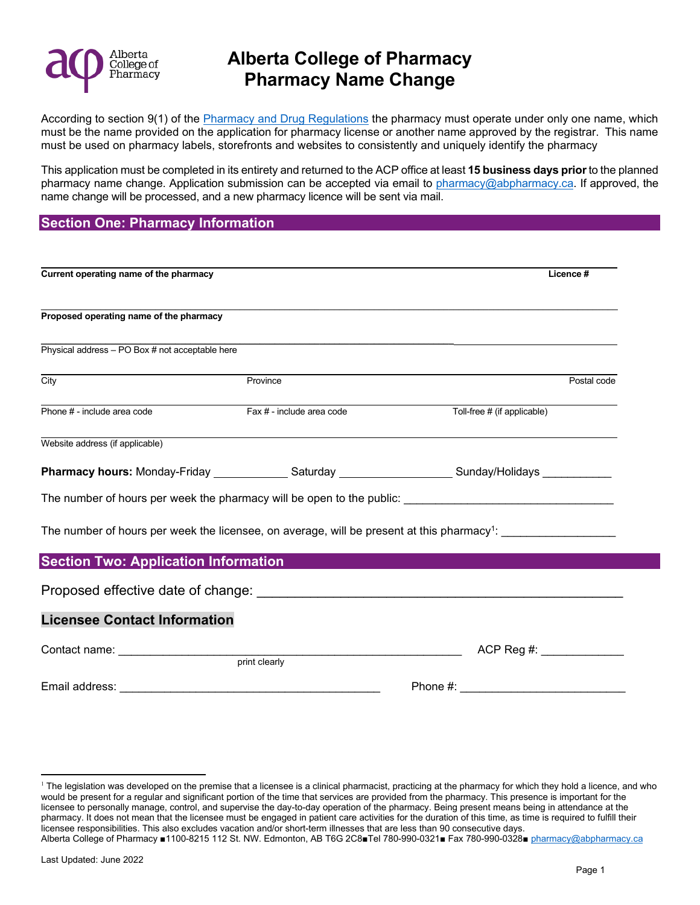

According to section 9(1) of the **Pharmacy and Drug Regulations** the pharmacy must operate under only one name, which must be the name provided on the application for pharmacy license or another name approved by the registrar. This name must be used on pharmacy labels, storefronts and websites to consistently and uniquely identify the pharmacy

This application must be completed in its entirety and returned to the ACP office at least **15 business days prior** to the planned pharmacy name change. Application submission can be accepted via email to [pharmacy@abpharmacy.ca.](mailto:pharmacy@abpharmacy.ca) If approved, the name change will be processed, and a new pharmacy licence will be sent via mail.

#### **Section One: Pharmacy Information**

| Current operating name of the pharmacy          |                           | Licence #                                                                                                                   |
|-------------------------------------------------|---------------------------|-----------------------------------------------------------------------------------------------------------------------------|
| Proposed operating name of the pharmacy         |                           |                                                                                                                             |
| Physical address - PO Box # not acceptable here |                           |                                                                                                                             |
| City                                            | Province                  | Postal code                                                                                                                 |
| Phone # - include area code                     | Fax # - include area code | Toll-free # (if applicable)                                                                                                 |
| Website address (if applicable)                 |                           |                                                                                                                             |
|                                                 |                           | Pharmacy hours: Monday-Friday _______________Saturday _____________________Sunday/Holidays _____________                    |
|                                                 |                           |                                                                                                                             |
|                                                 |                           | The number of hours per week the licensee, on average, will be present at this pharmacy <sup>1</sup> : ____________________ |
| <b>Section Two: Application Information</b>     |                           |                                                                                                                             |
|                                                 |                           |                                                                                                                             |
| <b>Licensee Contact Information</b>             |                           |                                                                                                                             |
|                                                 |                           | ACP Reg #: _____________                                                                                                    |
| Email address:                                  |                           | Phone $#$ :                                                                                                                 |

<span id="page-0-0"></span>Alberta College of Pharmacy ■1100-8215 112 St. NW. Edmonton, AB T6G 2C8■Tel 780-990-0321■ Fax 780-990-0328■ [pharmacy@abpharmacy.ca](mailto:pharmacy@abpharmacy.ca) <sup>1</sup> The legislation was developed on the premise that a licensee is a clinical pharmacist, practicing at the pharmacy for which they hold a licence, and who would be present for a regular and significant portion of the time that services are provided from the pharmacy. This presence is important for the licensee to personally manage, control, and supervise the day-to-day operation of the pharmacy. Being present means being in attendance at the pharmacy. It does not mean that the licensee must be engaged in patient care activities for the duration of this time, as time is required to fulfill their licensee responsibilities. This also excludes vacation and/or short-term illnesses that are less than 90 consecutive days.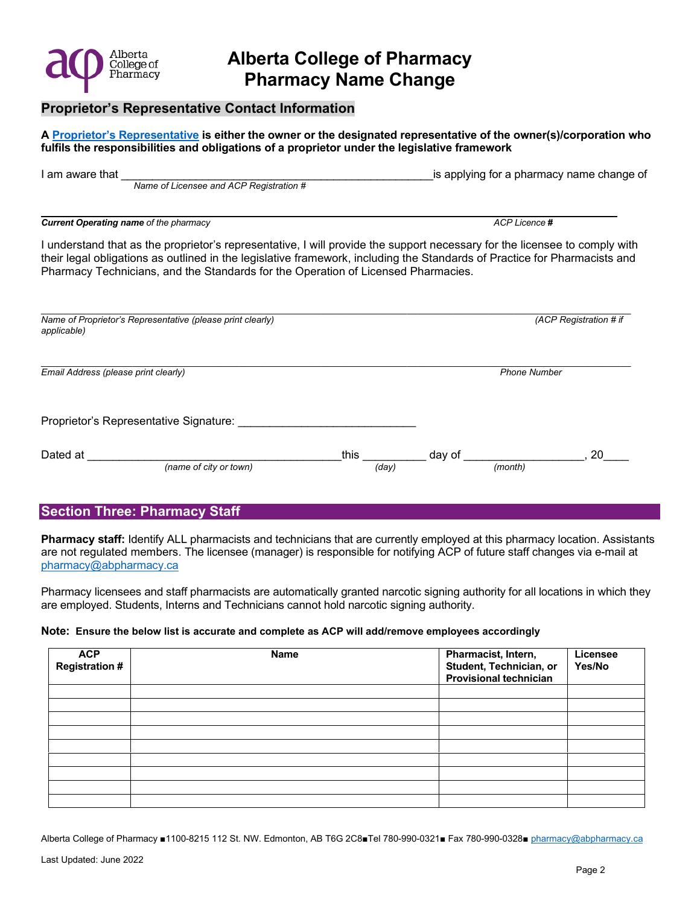

#### **Proprietor's Representative Contact Information**

**A [Proprietor's Representative i](https://abpharmacy.ca/sites/default/files/Licensee_vs_ProprietorsAgent.pdf)s either the owner or the designated representative of the owner(s)/corporation who fulfils the responsibilities and obligations of a proprietor under the legislative framework** 

| I am aware that<br>Name of Licensee and ACP Registration #                                                                                                                                                                                                                                                                                   |               |                   | is applying for a pharmacy name change of |
|----------------------------------------------------------------------------------------------------------------------------------------------------------------------------------------------------------------------------------------------------------------------------------------------------------------------------------------------|---------------|-------------------|-------------------------------------------|
| <b>Current Operating name of the pharmacy</b>                                                                                                                                                                                                                                                                                                |               |                   | ACP Licence #                             |
| I understand that as the proprietor's representative, I will provide the support necessary for the licensee to comply with<br>their legal obligations as outlined in the legislative framework, including the Standards of Practice for Pharmacists and<br>Pharmacy Technicians, and the Standards for the Operation of Licensed Pharmacies. |               |                   |                                           |
| Name of Proprietor's Representative (please print clearly)<br>applicable)                                                                                                                                                                                                                                                                    |               |                   | (ACP Registration # if                    |
| Email Address (please print clearly)                                                                                                                                                                                                                                                                                                         |               |                   | <b>Phone Number</b>                       |
| Proprietor's Representative Signature:                                                                                                                                                                                                                                                                                                       |               |                   |                                           |
| Dated at<br>(name of city or town)                                                                                                                                                                                                                                                                                                           | this<br>(day) | day of<br>(month) | 20                                        |

### **Section Three: Pharmacy Staff**

**Pharmacy staff:** Identify ALL pharmacists and technicians that are currently employed at this pharmacy location. Assistants are not regulated members. The licensee (manager) is responsible for notifying ACP of future staff changes via e-mail at [pharmacy@abpharmacy.ca](mailto:pharmacy@abpharmacy.ca)

Pharmacy licensees and staff pharmacists are automatically granted narcotic signing authority for all locations in which they are employed. Students, Interns and Technicians cannot hold narcotic signing authority.

#### **Note: Ensure the below list is accurate and complete as ACP will add/remove employees accordingly**

| <b>ACP</b><br><b>Registration#</b> | Name | Pharmacist, Intern,<br>Student, Technician, or<br>Provisional technician | Licensee<br>Yes/No |
|------------------------------------|------|--------------------------------------------------------------------------|--------------------|
|                                    |      |                                                                          |                    |
|                                    |      |                                                                          |                    |
|                                    |      |                                                                          |                    |
|                                    |      |                                                                          |                    |
|                                    |      |                                                                          |                    |
|                                    |      |                                                                          |                    |
|                                    |      |                                                                          |                    |
|                                    |      |                                                                          |                    |
|                                    |      |                                                                          |                    |

Alberta College of Pharmacy ■1100-8215 112 St. NW. Edmonton, AB T6G 2C8■Tel 780-990-0321■ Fax 780-990-0328■ [pharmacy@abpharmacy.ca](mailto:pharmacy@abpharmacy.ca)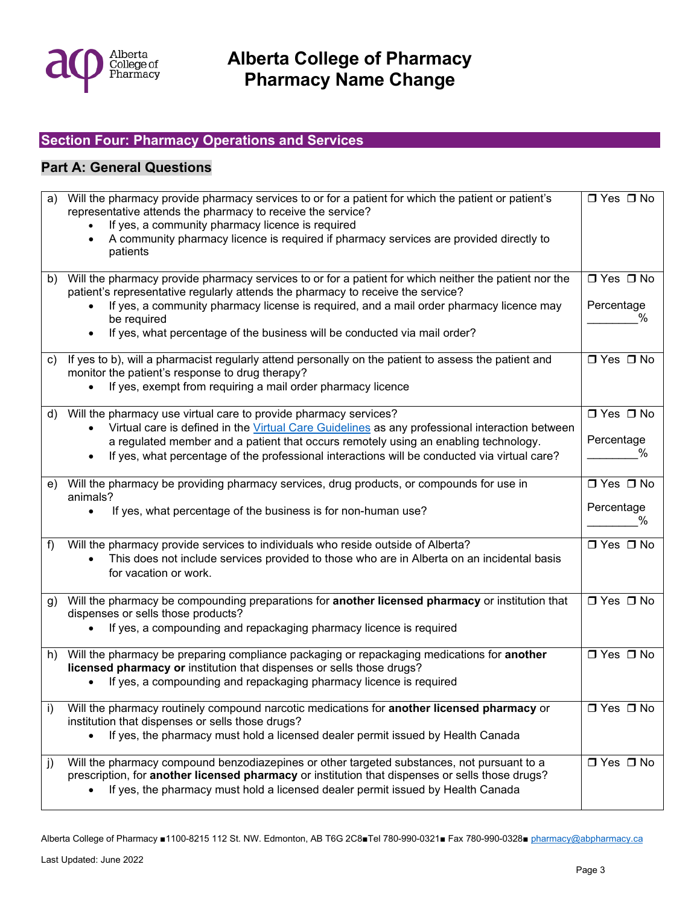

## **Section Four: Pharmacy Operations and Services**

### **Part A: General Questions**

| a) | Will the pharmacy provide pharmacy services to or for a patient for which the patient or patient's<br>representative attends the pharmacy to receive the service?<br>If yes, a community pharmacy licence is required<br>A community pharmacy licence is required if pharmacy services are provided directly to | □ Yes □ No                     |
|----|-----------------------------------------------------------------------------------------------------------------------------------------------------------------------------------------------------------------------------------------------------------------------------------------------------------------|--------------------------------|
|    | patients                                                                                                                                                                                                                                                                                                        |                                |
|    | b) Will the pharmacy provide pharmacy services to or for a patient for which neither the patient nor the<br>patient's representative regularly attends the pharmacy to receive the service?                                                                                                                     | $\Box$ Yes $\Box$ No           |
|    | If yes, a community pharmacy license is required, and a mail order pharmacy licence may<br>be required                                                                                                                                                                                                          | Percentage<br>℅                |
|    | If yes, what percentage of the business will be conducted via mail order?                                                                                                                                                                                                                                       |                                |
| C) | If yes to b), will a pharmacist regularly attend personally on the patient to assess the patient and<br>monitor the patient's response to drug therapy?                                                                                                                                                         | $\Box$ Yes $\Box$ No           |
|    | If yes, exempt from requiring a mail order pharmacy licence                                                                                                                                                                                                                                                     |                                |
|    | d) Will the pharmacy use virtual care to provide pharmacy services?                                                                                                                                                                                                                                             | $\overline{\Box$ Yes $\Box$ No |
|    | Virtual care is defined in the Virtual Care Guidelines as any professional interaction between<br>a regulated member and a patient that occurs remotely using an enabling technology.                                                                                                                           | Percentage                     |
|    | If yes, what percentage of the professional interactions will be conducted via virtual care?                                                                                                                                                                                                                    | ℅                              |
|    |                                                                                                                                                                                                                                                                                                                 |                                |
|    | e) Will the pharmacy be providing pharmacy services, drug products, or compounds for use in<br>animals?                                                                                                                                                                                                         | $\Box$ Yes $\Box$ No           |
|    | If yes, what percentage of the business is for non-human use?                                                                                                                                                                                                                                                   | Percentage<br>℅                |
| f  | Will the pharmacy provide services to individuals who reside outside of Alberta?                                                                                                                                                                                                                                | $\Box$ Yes $\Box$ No           |
|    | This does not include services provided to those who are in Alberta on an incidental basis<br>for vacation or work.                                                                                                                                                                                             |                                |
| g) | Will the pharmacy be compounding preparations for another licensed pharmacy or institution that<br>dispenses or sells those products?                                                                                                                                                                           | $\Box$ Yes $\Box$ No           |
|    | If yes, a compounding and repackaging pharmacy licence is required                                                                                                                                                                                                                                              |                                |
|    | h) Will the pharmacy be preparing compliance packaging or repackaging medications for another<br>licensed pharmacy or institution that dispenses or sells those drugs?                                                                                                                                          | $\Box$ Yes $\Box$ No           |
|    | If yes, a compounding and repackaging pharmacy licence is required                                                                                                                                                                                                                                              |                                |
| i) | Will the pharmacy routinely compound narcotic medications for another licensed pharmacy or<br>institution that dispenses or sells those drugs?                                                                                                                                                                  | □ Yes □ No                     |
|    | If yes, the pharmacy must hold a licensed dealer permit issued by Health Canada                                                                                                                                                                                                                                 |                                |
|    |                                                                                                                                                                                                                                                                                                                 |                                |
| j) | Will the pharmacy compound benzodiazepines or other targeted substances, not pursuant to a                                                                                                                                                                                                                      | $\Box$ Yes $\Box$ No           |
|    | prescription, for another licensed pharmacy or institution that dispenses or sells those drugs?<br>If yes, the pharmacy must hold a licensed dealer permit issued by Health Canada                                                                                                                              |                                |

Alberta College of Pharmacy ■1100-8215 112 St. NW. Edmonton, AB T6G 2C8■Tel 780-990-0321■ Fax 780-990-0328■ [pharmacy@abpharmacy.ca](mailto:pharmacy@abpharmacy.ca)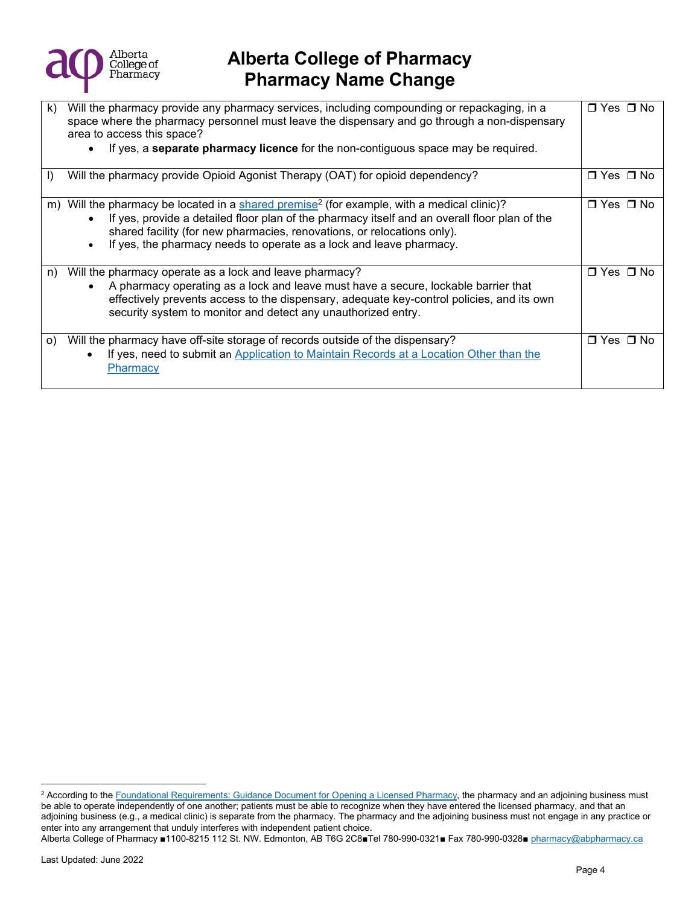

| k) | Will the pharmacy provide any pharmacy services, including compounding or repackaging, in a<br>space where the pharmacy personnel must leave the dispensary and go through a non-dispensary<br>area to access this space?<br>If yes, a <b>separate pharmacy licence</b> for the non-contiguous space may be required.                                  | $\Box$ Yes $\Box$ No |
|----|--------------------------------------------------------------------------------------------------------------------------------------------------------------------------------------------------------------------------------------------------------------------------------------------------------------------------------------------------------|----------------------|
| I) | Will the pharmacy provide Opioid Agonist Therapy (OAT) for opioid dependency?                                                                                                                                                                                                                                                                          | ⊟ Yes ⊟ No           |
| m) | Will the pharmacy be located in a shared premise <sup>2</sup> (for example, with a medical clinic)?<br>If yes, provide a detailed floor plan of the pharmacy itself and an overall floor plan of the<br>shared facility (for new pharmacies, renovations, or relocations only).<br>If yes, the pharmacy needs to operate as a lock and leave pharmacy. | □ Yes □ No           |
| n) | Will the pharmacy operate as a lock and leave pharmacy?<br>A pharmacy operating as a lock and leave must have a secure, lockable barrier that<br>effectively prevents access to the dispensary, adequate key-control policies, and its own<br>security system to monitor and detect any unauthorized entry.                                            | □ Yes □ No           |
| O) | Will the pharmacy have off-site storage of records outside of the dispensary?<br>If yes, need to submit an Application to Maintain Records at a Location Other than the<br>Pharmacy                                                                                                                                                                    | □ Yes □ No           |

```
Alberta College of Pharmacy ■1100-8215 112 St. NW. Edmonton, AB T6G 2C8■Tel 780-990-0321■ Fax 780-990-0328■ pharmacy@abpharmacy.ca
```
<span id="page-3-0"></span><sup>&</sup>lt;sup>2</sup> According to the <u>Foundational Requirements: Guidance Document for Opening a Licensed Pharmacy, the pharmacy and an adjoining business must</u> be able to operate independently of one another; patients must be able to recognize when they have entered the licensed pharmacy, and that an adjoining business (e.g., a medical clinic) is separate from the pharmacy. The pharmacy and the adjoining business must not engage in any practice or enter into any arrangement that unduly interferes with independent patient choice.